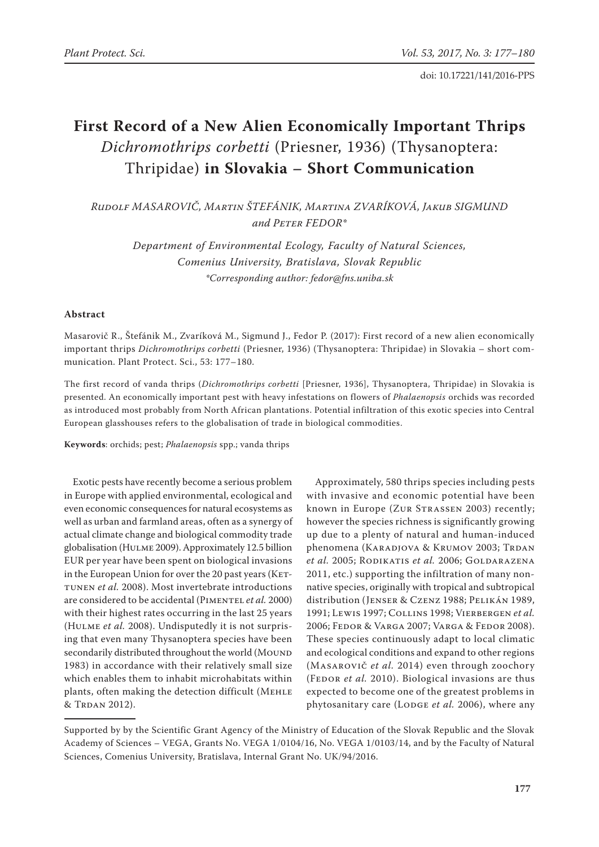doi: 10.17221/141/2016-PPS

# **First Record of a New Alien Economically Important Thrips**  *Dichromothrips corbetti* (Priesner, 1936) (Thysanoptera: Thripidae) **in Slovakia – Short Communication**

*Rudolf Masarovič, Martin Štefánik, Martina Zvaríková, Jakub Sigmund and Peter Fedor\**

> *Department of Environmental Ecology, Faculty of Natural Sciences, Comenius University, Bratislava, Slovak Republic \*Corresponding author: fedor@fns.uniba.sk*

## **Abstract**

Masarovič R., Štefánik M., Zvaríková M., Sigmund J., Fedor P. (2017): First record of a new alien economically important thrips *Dichromothrips corbetti* (Priesner, 1936) (Thysanoptera: Thripidae) in Slovakia – short communication. Plant Protect. Sci., 53: 177–180.

The first record of vanda thrips (*Dichromothrips corbetti* [Priesner, 1936], Thysanoptera, Thripidae) in Slovakia is presented. An economically important pest with heavy infestations on flowers of *Phalaenopsis* orchids was recorded as introduced most probably from North African plantations. Potential infiltration of this exotic species into Central European glasshouses refers to the globalisation of trade in biological commodities.

**Keywords**: orchids; pest; *Phalaenopsis* spp.; vanda thrips

Exotic pests have recently become a serious problem in Europe with applied environmental, ecological and even economic consequences for natural ecosystems as well as urban and farmland areas, often as a synergy of actual climate change and biological commodity trade globalisation (Hulme 2009). Approximately 12.5 billion EUR per year have been spent on biological invasions in the European Union for over the 20 past years (KETtunen *et al.* 2008). Most invertebrate introductions are considered to be accidental (PIMENTEL et al. 2000) with their highest rates occurring in the last 25 years (Hulme *et al.* 2008). Undisputedly it is not surprising that even many Thysanoptera species have been secondarily distributed throughout the world (MOUND 1983) in accordance with their relatively small size which enables them to inhabit microhabitats within plants, often making the detection difficult (MEHLE & TRDAN 2012).

Approximately, 580 thrips species including pests with invasive and economic potential have been known in Europe (ZUR STRASSEN 2003) recently; however the species richness is significantly growing up due to a plenty of natural and human-induced phenomena (KARADJOVA & KRUMOV 2003; TRDAN *et al.* 2005; RODIKATIS *et al.* 2006; GOLDARAZENA 2011, etc.) supporting the infiltration of many nonnative species, originally with tropical and subtropical distribution (Jenser & Czenz 1988; Pelikán 1989, 1991; Lewis 1997; Collins 1998; Vierbergen *et al.* 2006; Fedor & Varga 2007; Varga & Fedor 2008). These species continuously adapt to local climatic and ecological conditions and expand to other regions (Masarovič *et al.* 2014) even through zoochory (FEDOR *et al.* 2010). Biological invasions are thus expected to become one of the greatest problems in phytosanitary care (LoDGE et al. 2006), where any

Supported by by the Scientific Grant Agency of the Ministry of Education of the Slovak Republic and the Slovak Academy of Sciences – VEGA, Grants No. VEGA 1/0104/16, No. VEGA 1/0103/14, and by the Faculty of Natural Sciences, Comenius University, Bratislava, Internal Grant No. UK/94/2016.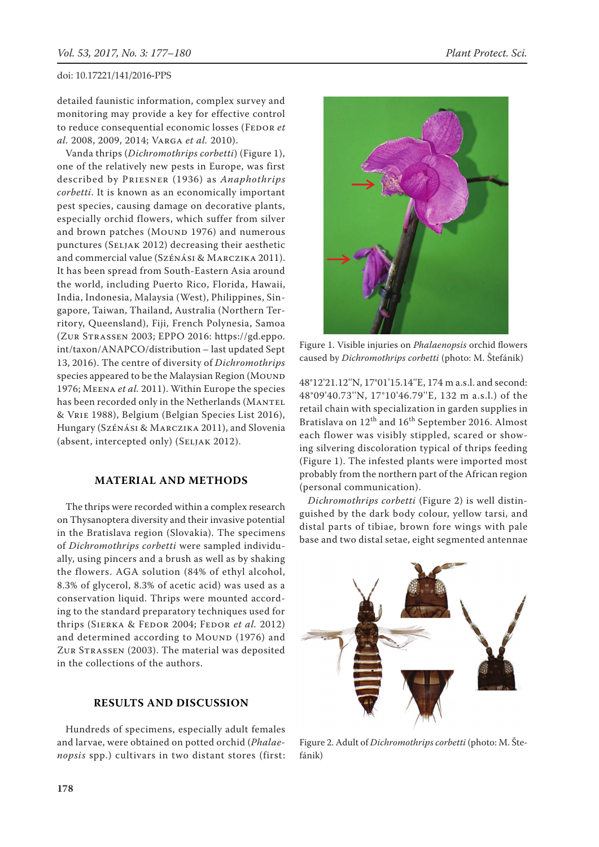detailed faunistic information, complex survey and monitoring may provide a key for effective control to reduce consequential economic losses (FEDOR et *al.* 2008, 2009, 2014; Varga *et al.* 2010).

Vanda thrips (*Dichromothrips corbetti*) (Figure 1), one of the relatively new pests in Europe, was first described by Priesner (1936) as *Anaphothrips corbetti*. It is known as an economically important pest species, causing damage on decorative plants, especially orchid flowers, which suffer from silver and brown patches (MOUND 1976) and numerous punctures (Seljak 2012) decreasing their aesthetic and commercial value (Szénási & Marczika 2011). It has been spread from South-Eastern Asia around the world, including Puerto Rico, Florida, Hawaii, India, Indonesia, Malaysia (West), Philippines, Singapore, Taiwan, Thailand, Australia (Northern Territory, Queensland), Fiji, French Polynesia, Samoa (Zur Strassen 2003; EPPO 2016: https://gd.eppo. int/taxon/ANAPCO/distribution – last updated Sept 13, 2016). The centre of diversity of *Dichromothrips* species appeared to be the Malaysian Region (MOUND 1976; Meena *et al.* 2011). Within Europe the species has been recorded only in the Netherlands (MANTEL & Vrie 1988), Belgium (Belgian Species List 2016), Hungary (Szénási & Marczika 2011), and Slovenia (absent, intercepted only) (Seljak 2012).

## **Material and Methods**

The thrips were recorded within a complex research on Thysanoptera diversity and their invasive potential in the Bratislava region (Slovakia). The specimens of *Dichromothrips corbetti* were sampled individually, using pincers and a brush as well as by shaking the flowers. AGA solution (84% of ethyl alcohol, 8.3% of glycerol, 8.3% of acetic acid) was used as a conservation liquid. Thrips were mounted according to the standard preparatory techniques used for thrips (Sierka & Fedor 2004; Fedor *et al.* 2012) and determined according to MOUND (1976) and ZUR STRASSEN (2003). The material was deposited in the collections of the authors.

# **Results and Discussion**

Hundreds of specimens, especially adult females and larvae, were obtained on potted orchid (*Phalaenopsis* spp.) cultivars in two distant stores (first:



Figure 1. Visible injuries on *Phalaenopsis* orchid flowers caused by *Dichromothrips corbetti* (photo: M. Štefánik)

48°12'21.12''N, 17°01'15.14''E, 174 m a.s.l. and second: 48°09'40.73''N, 17°10'46.79''E, 132 m a.s.l.) of the retail chain with specialization in garden supplies in Bratislava on  $12^{th}$  and  $16^{th}$  September 2016. Almost each flower was visibly stippled, scared or showing silvering discoloration typical of thrips feeding (Figure 1). The infested plants were imported most probably from the northern part of the African region (personal communication).

*Dichromothrips corbetti* (Figure 2) is well distinguished by the dark body colour, yellow tarsi, and distal parts of tibiae, brown fore wings with pale base and two distal setae, eight segmented antennae



Figure 2. Adult of *Dichromothrips corbetti* (photo: M. Štefánik)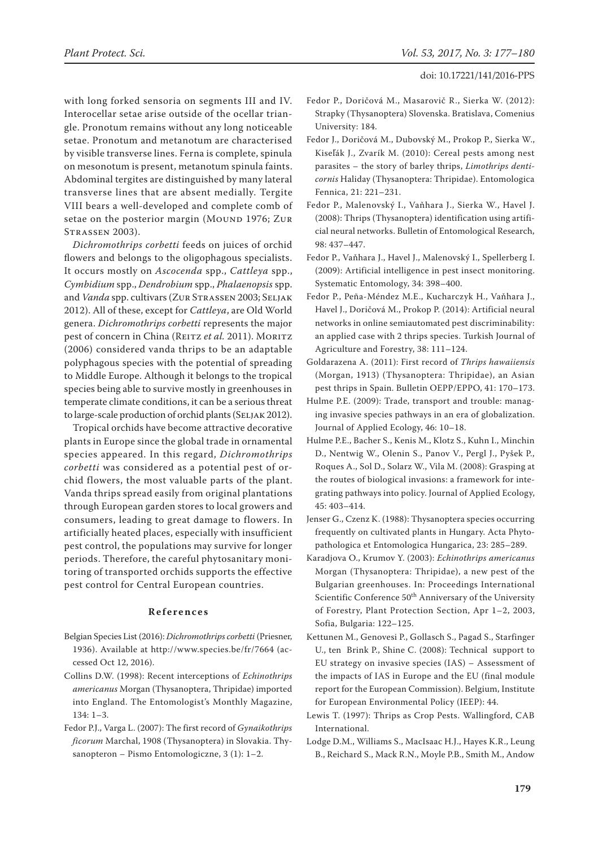with long forked sensoria on segments III and IV. Interocellar setae arise outside of the ocellar triangle. Pronotum remains without any long noticeable setae. Pronotum and metanotum are characterised by visible transverse lines. Ferna is complete, spinula on mesonotum is present, metanotum spinula faints. Abdominal tergites are distinguished by many lateral transverse lines that are absent medially. Tergite VIII bears a well-developed and complete comb of setae on the posterior margin (MOUND 1976; ZUR Strassen 2003).

*Dichromothrips corbetti* feeds on juices of orchid flowers and belongs to the oligophagous specialists. It occurs mostly on *Ascocenda* spp., *Cattleya* spp., *Cymbidium* spp., *Dendrobium* spp., *Phalaenopsis* spp. and *Vanda* spp. cultivars (ZUR STRASSEN 2003; SELJAK 2012). All of these, except for *Cattleya*, are Old World genera. *Dichromothrips corbetti* represents the major pest of concern in China (REITZ et al. 2011). MORITZ (2006) considered vanda thrips to be an adaptable polyphagous species with the potential of spreading to Middle Europe. Although it belongs to the tropical species being able to survive mostly in greenhouses in temperate climate conditions, it can be a serious threat to large-scale production of orchid plants (SELJAK 2012).

Tropical orchids have become attractive decorative plants in Europe since the global trade in ornamental species appeared. In this regard, *Dichromothrips corbetti* was considered as a potential pest of orchid flowers, the most valuable parts of the plant. Vanda thrips spread easily from original plantations through European garden stores to local growers and consumers, leading to great damage to flowers. In artificially heated places, especially with insufficient pest control, the populations may survive for longer periods. Therefore, the careful phytosanitary monitoring of transported orchids supports the effective pest control for Central European countries.

### **References**

- Belgian Species List (2016): *Dichromothrips corbetti* (Priesner, 1936). Available at http://www.species.be/fr/7664 (accessed Oct 12, 2016).
- Collins D.W. (1998): Recent interceptions of *Echinothrips americanus* Morgan (Thysanoptera, Thripidae) imported into England. The Entomologist's Monthly Magazine, 134: 1–3.
- Fedor P.J., Varga L. (2007): The first record of *Gynaikothrips ficorum* Marchal, 1908 (Thysanoptera) in Slovakia. Thysanopteron – Pismo Entomologiczne, 3 (1): 1–2.
- Fedor P., Doričová M., Masarovič R., Sierka W. (2012): Strapky (Thysanoptera) Slovenska. Bratislava, Comenius University: 184.
- Fedor J., Doričová M., Dubovský M., Prokop P., Sierka W., Kiseľák J., Zvarík M. (2010): Cereal pests among nest parasites – the story of barley thrips, *Limothrips denticornis* Haliday (Thysanoptera: Thripidae). Entomologica Fennica, 21: 221–231.
- Fedor P., Malenovský I., Vaňhara J., Sierka W., Havel J. (2008): Thrips (Thysanoptera) identification using artificial neural networks. Bulletin of Entomological Research, 98: 437–447.
- Fedor P., Vaňhara J., Havel J., Malenovský I., Spellerberg I. (2009): Artificial intelligence in pest insect monitoring. Systematic Entomology, 34: 398–400.
- Fedor P., Peña-Méndez M.E., Kucharczyk H., Vaňhara J., Havel J., Doričová M., Prokop P. (2014): Artificial neural networks in online semiautomated pest discriminability: an applied case with 2 thrips species. Turkish Journal of Agriculture and Forestry, 38: 111–124.
- Goldarazena A. (2011): First record of *Thrips hawaiiensis* (Morgan, 1913) (Thysanoptera: Thripidae), an Asian pest thrips in Spain. Bulletin OEPP/EPPO, 41: 170–173.
- Hulme P.E. (2009): Trade, transport and trouble: managing invasive species pathways in an era of globalization. Journal of Applied Ecology, 46: 10–18.
- Hulme P.E., Bacher S., Kenis M., Klotz S., Kuhn I., Minchin D., Nentwig W., Olenin S., Panov V., Pergl J., Pyšek P., Roques A., Sol D., Solarz W., Vila M. (2008): Grasping at the routes of biological invasions: a framework for integrating pathways into policy. Journal of Applied Ecology, 45: 403–414.
- Jenser G., Czenz K. (1988): Thysanoptera species occurring frequently on cultivated plants in Hungary. Acta Phytopathologica et Entomologica Hungarica, 23: 285–289.
- Karadjova O., Krumov Y. (2003): *Echinothrips americanus* Morgan (Thysanoptera: Thripidae), a new pest of the Bulgarian greenhouses. In: Proceedings International Scientific Conference 50<sup>th</sup> Anniversary of the University of Forestry, Plant Protection Section, Apr 1–2, 2003, Sofia, Bulgaria: 122–125.
- Kettunen M., Genovesi P., Gollasch S., Pagad S., Starfinger U., ten Brink P., Shine C. (2008): Technical support to EU strategy on invasive species (IAS) – Assessment of the impacts of IAS in Europe and the EU (final module report for the European Commission). Belgium, Institute for European Environmental Policy (IEEP): 44.
- Lewis T. (1997): Thrips as Crop Pests. Wallingford, CAB International.
- Lodge D.M., Williams S., MacIsaac H.J., Hayes K.R., Leung B., Reichard S., Mack R.N., Moyle P.B., Smith M., Andow